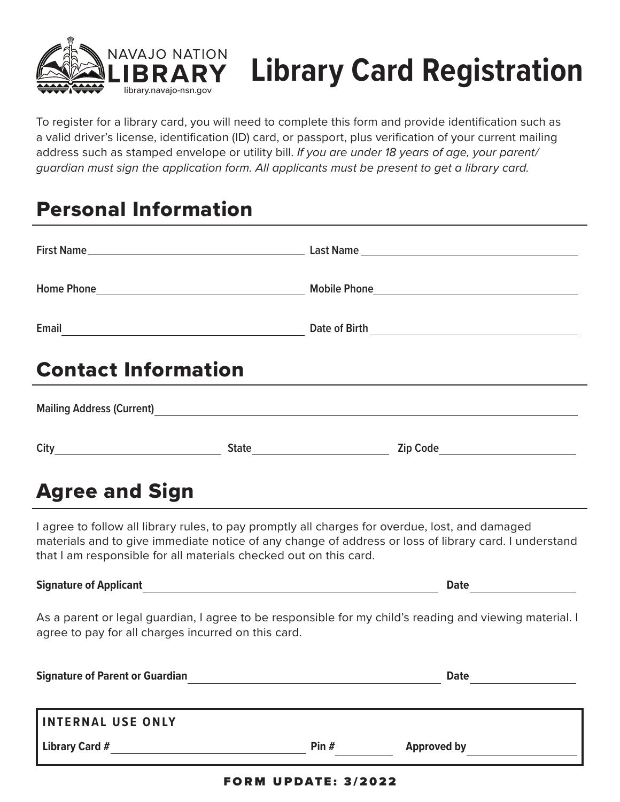

# **Library Card Registration**

To register for a library card, you will need to complete this form and provide identification such as a valid driver's license, identification (ID) card, or passport, plus verification of your current mailing address such as stamped envelope or utility bill. *If you are under 18 years of age, your parent/ guardian must sign the application form. All applicants must be present to get a library card.*

# Personal Information

| <b>Contact Information</b>                                                                                                                                                                                                                                                    |  |  |  |  |
|-------------------------------------------------------------------------------------------------------------------------------------------------------------------------------------------------------------------------------------------------------------------------------|--|--|--|--|
| Mailing Address (Current) Mailing Address (Current)                                                                                                                                                                                                                           |  |  |  |  |
|                                                                                                                                                                                                                                                                               |  |  |  |  |
| <b>Agree and Sign</b>                                                                                                                                                                                                                                                         |  |  |  |  |
| I agree to follow all library rules, to pay promptly all charges for overdue, lost, and damaged<br>materials and to give immediate notice of any change of address or loss of library card. I understand<br>that I am responsible for all materials checked out on this card. |  |  |  |  |
|                                                                                                                                                                                                                                                                               |  |  |  |  |
| As a parent or legal guardian, I agree to be responsible for my child's reading and viewing material. I<br>agree to pay for all charges incurred on this card.                                                                                                                |  |  |  |  |
|                                                                                                                                                                                                                                                                               |  |  |  |  |

| <b>Signature of Parent or Guardian</b> |         | <b>Date</b>        |
|----------------------------------------|---------|--------------------|
|                                        |         |                    |
| <b>INTERNAL USE ONLY</b>               |         |                    |
| Library Card #                         | Pin $#$ | <b>Approved by</b> |